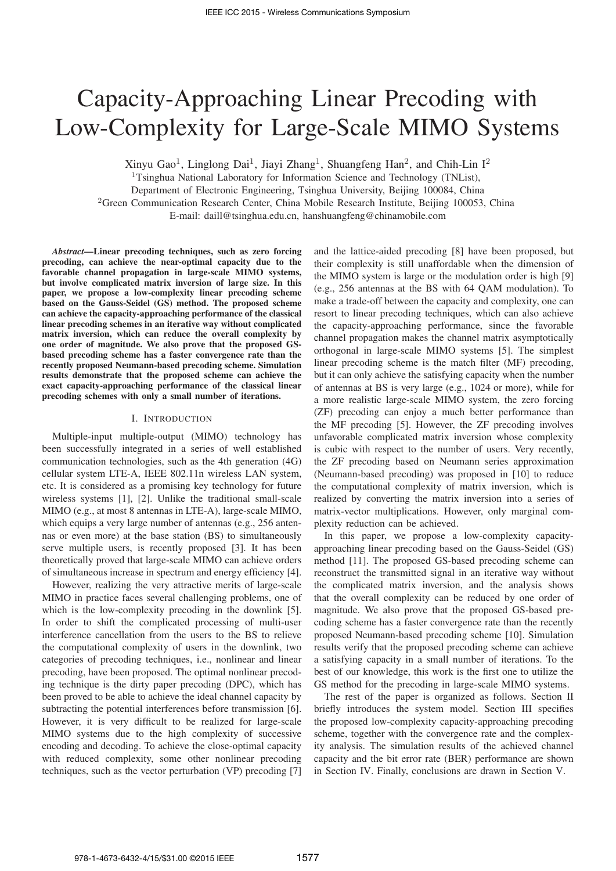# Capacity-Approaching Linear Precoding with Low-Complexity for Large-Scale MIMO Systems

Xinyu Gao<sup>1</sup>, Linglong Dai<sup>1</sup>, Jiayi Zhang<sup>1</sup>, Shuangfeng Han<sup>2</sup>, and Chih-Lin I<sup>2</sup> <sup>1</sup>Tsinghua National Laboratory for Information Science and Technology (TNList),

Department of Electronic Engineering, Tsinghua University, Beijing 100084, China

<sup>2</sup>Green Communication Research Center, China Mobile Research Institute, Beijing 100053, China

E-mail: daill@tsinghua.edu.cn, hanshuangfeng@chinamobile.com

*Abstract*—Linear precoding techniques, such as zero forcing precoding, can achieve the near-optimal capacity due to the favorable channel propagation in large-scale MIMO systems, but involve complicated matrix inversion of large size. In this paper, we propose a low-complexity linear precoding scheme based on the Gauss-Seidel (GS) method. The proposed scheme can achieve the capacity-approaching performance of the classical linear precoding schemes in an iterative way without complicated matrix inversion, which can reduce the overall complexity by one order of magnitude. We also prove that the proposed GSbased precoding scheme has a faster convergence rate than the recently proposed Neumann-based precoding scheme. Simulation results demonstrate that the proposed scheme can achieve the exact capacity-approaching performance of the classical linear precoding schemes with only a small number of iterations.

#### I. INTRODUCTION

Multiple-input multiple-output (MIMO) technology has been successfully integrated in a series of well established communication technologies, such as the 4th generation (4G) cellular system LTE-A, IEEE 802.11n wireless LAN system, etc. It is considered as a promising key technology for future wireless systems [1], [2]. Unlike the traditional small-scale MIMO (e.g., at most 8 antennas in LTE-A), large-scale MIMO, which equips a very large number of antennas (e.g., 256 antennas or even more) at the base station (BS) to simultaneously serve multiple users, is recently proposed [3]. It has been theoretically proved that large-scale MIMO can achieve orders of simultaneous increase in spectrum and energy efficiency [4].

However, realizing the very attractive merits of large-scale MIMO in practice faces several challenging problems, one of which is the low-complexity precoding in the downlink [5]. In order to shift the complicated processing of multi-user interference cancellation from the users to the BS to relieve the computational complexity of users in the downlink, two categories of precoding techniques, i.e., nonlinear and linear precoding, have been proposed. The optimal nonlinear precoding technique is the dirty paper precoding (DPC), which has been proved to be able to achieve the ideal channel capacity by subtracting the potential interferences before transmission [6]. However, it is very difficult to be realized for large-scale MIMO systems due to the high complexity of successive encoding and decoding. To achieve the close-optimal capacity with reduced complexity, some other nonlinear precoding techniques, such as the vector perturbation (VP) precoding [7]

and the lattice-aided precoding [8] have been proposed, but their complexity is still unaffordable when the dimension of the MIMO system is large or the modulation order is high [9] (e.g., 256 antennas at the BS with 64 QAM modulation). To make a trade-off between the capacity and complexity, one can resort to linear precoding techniques, which can also achieve the capacity-approaching performance, since the favorable channel propagation makes the channel matrix asymptotically orthogonal in large-scale MIMO systems [5]. The simplest linear precoding scheme is the match filter (MF) precoding, but it can only achieve the satisfying capacity when the number of antennas at BS is very large (e.g., 1024 or more), while for a more realistic large-scale MIMO system, the zero forcing (ZF) precoding can enjoy a much better performance than the MF precoding [5]. However, the ZF precoding involves unfavorable complicated matrix inversion whose complexity is cubic with respect to the number of users. Very recently, the ZF precoding based on Neumann series approximation (Neumann-based precoding) was proposed in [10] to reduce the computational complexity of matrix inversion, which is realized by converting the matrix inversion into a series of matrix-vector multiplications. However, only marginal complexity reduction can be achieved.

In this paper, we propose a low-complexity capacityapproaching linear precoding based on the Gauss-Seidel (GS) method [11]. The proposed GS-based precoding scheme can reconstruct the transmitted signal in an iterative way without the complicated matrix inversion, and the analysis shows that the overall complexity can be reduced by one order of magnitude. We also prove that the proposed GS-based precoding scheme has a faster convergence rate than the recently proposed Neumann-based precoding scheme [10]. Simulation results verify that the proposed precoding scheme can achieve a satisfying capacity in a small number of iterations. To the best of our knowledge, this work is the first one to utilize the GS method for the precoding in large-scale MIMO systems.

The rest of the paper is organized as follows. Section II briefly introduces the system model. Section III specifies the proposed low-complexity capacity-approaching precoding scheme, together with the convergence rate and the complexity analysis. The simulation results of the achieved channel capacity and the bit error rate (BER) performance are shown in Section IV. Finally, conclusions are drawn in Section V.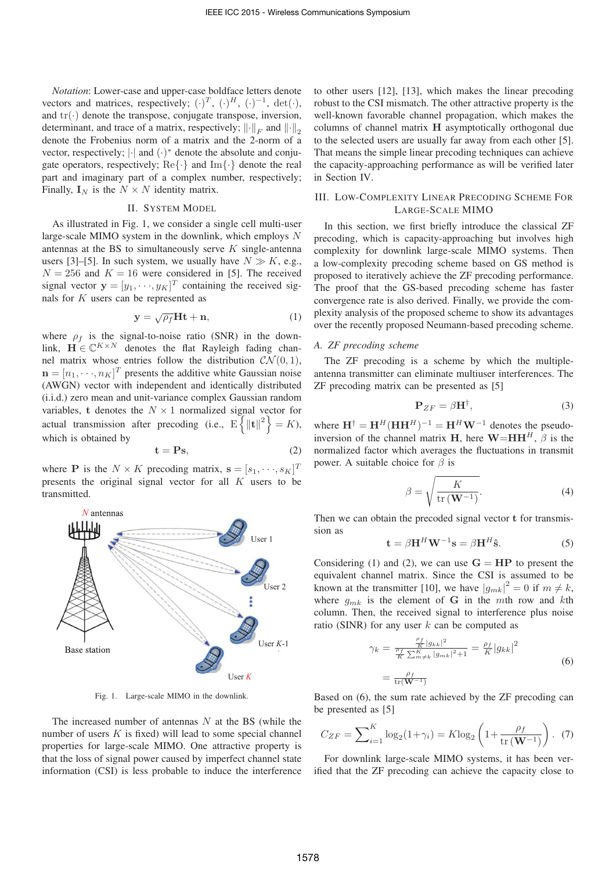*Notation*: Lower-case and upper-case boldface letters denote vectors and matrices, respectively;  $(\cdot)^T$ ,  $(\cdot)^H$ ,  $(\cdot)^{-1}$ , det $(\cdot)$ , and  $\text{tr}(\cdot)$  denote the transpose, conjugate transpose, inversion, determinant, and trace of a matrix, respectively;  $\|\cdot\|_F$  and  $\|\cdot\|_2$ <br>denote the Frobenius norm of a matrix and the 2-norm of a denote the Frobenius norm of a matrix and the 2-norm of a vector, respectively; |·| and (·)<sup>∗</sup> denote the absolute and conjugate operators, respectively;  $\text{Re}\{\cdot\}$  and  $\text{Im}\{\cdot\}$  denote the real part and imaginary part of a complex number, respectively; Finally,  $\mathbf{I}_N$  is the  $N \times N$  identity matrix.

#### II. SYSTEM MODEL

As illustrated in Fig. 1, we consider a single cell multi-user large-scale MIMO system in the downlink, which employs N antennas at the BS to simultaneously serve  $K$  single-antenna users [3]–[5]. In such system, we usually have  $N \gg K$ , e.g.,  $N = 256$  and  $K = 16$  were considered in [5]. The received signal vector  $\mathbf{y} = [y_1, \dots, y_K]^T$  containing the received signals for K users can be represented as nals for K users can be represented as

$$
y = \sqrt{\rho_f} Ht + n,\tag{1}
$$

where  $\rho_f$  is the signal-to-noise ratio (SNR) in the down-<br>link,  $\mathbf{H} \in \mathbb{C}^{K \times N}$  denotes the flat Rayleigh fading channel matrix whose entries follow the distribution  $\mathcal{CN}(0, 1)$ ,  $\mathbf{n} = [n_1, \dots, n_K]^T$  presents the additive white Gaussian noise<br>(AWGN) yector with independent and identically distributed (AWGN) vector with independent and identically distributed (i.i.d.) zero mean and unit-variance complex Gaussian random variables, **t** denotes the  $N \times 1$  normalized signal vector for actual transmission after precoding (i.e.,  $E\left\{\|\mathbf{t}\|^2\right\} = K$ ), which is obtained by

$$
\mathbf{t} = \mathbf{P}\mathbf{s},\tag{2}
$$

where **P** is the  $N \times K$  precoding matrix,  $\mathbf{s} = [s_1, \dots, s_K]^T$ <br>presents the original signal vector for all K users to be presents the original signal vector for all K users to be transmitted.



Fig. 1. Large-scale MIMO in the downlink.

The increased number of antennas  $N$  at the BS (while the number of users  $K$  is fixed) will lead to some special channel properties for large-scale MIMO. One attractive property is that the loss of signal power caused by imperfect channel state information (CSI) is less probable to induce the interference

to other users [12], [13], which makes the linear precoding robust to the CSI mismatch. The other attractive property is the well-known favorable channel propagation, which makes the columns of channel matrix **H** asymptotically orthogonal due to the selected users are usually far away from each other [5]. That means the simple linear precoding techniques can achieve the capacity-approaching performance as will be verified later in Section IV.

# III. LOW-COMPLEXITY LINEAR PRECODING SCHEME FOR LARGE-SCALE MIMO

In this section, we first briefly introduce the classical ZF precoding, which is capacity-approaching but involves high complexity for downlink large-scale MIMO systems. Then a low-complexity precoding scheme based on GS method is proposed to iteratively achieve the ZF precoding performance. The proof that the GS-based precoding scheme has faster convergence rate is also derived. Finally, we provide the complexity analysis of the proposed scheme to show its advantages over the recently proposed Neumann-based precoding scheme.

## *A. ZF precoding scheme*

The ZF precoding is a scheme by which the multipleantenna transmitter can eliminate multiuser interferences. The ZF precoding matrix can be presented as [5]

$$
\mathbf{P}_{ZF} = \beta \mathbf{H}^\dagger, \tag{3}
$$

where  $\mathbf{H}^{\dagger} = \mathbf{H}^H(\mathbf{H}\mathbf{H}^H)^{-1} = \mathbf{H}^H\mathbf{W}^{-1}$  denotes the pseudoinversion of the channel matrix **H**, here  $\mathbf{W} = \mathbf{H}\mathbf{H}^H$ ,  $\beta$  is the normalized factor which averages the fluctuations in transmit power. A suitable choice for  $\beta$  is

$$
\beta = \sqrt{\frac{K}{\text{tr}(\mathbf{W}^{-1})}}.
$$
\n(4)

Then we can obtain the precoded signal vector **t** for transmission as

$$
\mathbf{t} = \beta \mathbf{H}^H \mathbf{W}^{-1} \mathbf{s} = \beta \mathbf{H}^H \hat{\mathbf{s}}.
$$
 (5)

Considering (1) and (2), we can use  $G = HP$  to present the equivalent channel matrix. Since the CSI is assumed to be known at the transmitter [10], we have  $|g_{mk}|^2 = 0$  if  $m \neq k$ ,<br>where  $g_{\alpha}$ , is the element of **G** in the mth row and kth where  $g_{mk}$  is the element of **G** in the mth row and kth column. Then, the received signal to interference plus noise ratio (SINR) for any user  $k$  can be computed as

$$
\gamma_k = \frac{\frac{\rho_f}{K} |g_{kk}|^2}{\frac{\rho_f}{K} \sum_{m \neq k}^K |g_{mk}|^2 + 1} = \frac{\rho_f}{K} |g_{kk}|^2
$$
  
= 
$$
\frac{\rho_f}{\text{tr}(\mathbf{W}^{-1})}
$$
 (6)

Based on (6), the sum rate achieved by the ZF precoding can be presented as [5]

$$
C_{ZF} = \sum_{i=1}^{K} \log_2(1+\gamma_i) = K \log_2\left(1 + \frac{\rho_f}{\text{tr}(\mathbf{W}^{-1})}\right). \tag{7}
$$

For downlink large-scale MIMO systems, it has been verified that the ZF precoding can achieve the capacity close to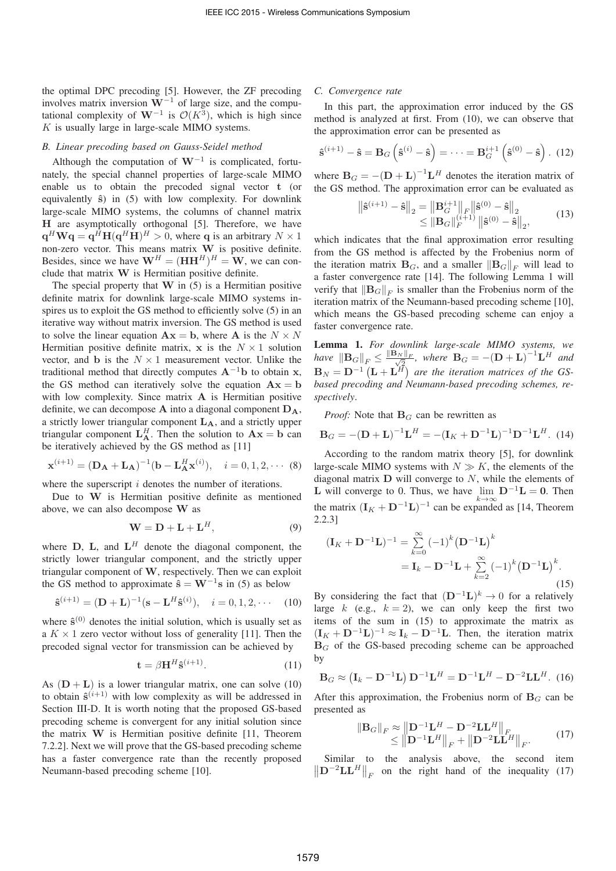the optimal DPC precoding [5]. However, the ZF precoding involves matrix inversion **W**−<sup>1</sup> of large size, and the computational complexity of  $W^{-1}$  is  $\mathcal{O}(K^3)$ , which is high since  $K$  is usually large in large-scale MIMO systems.

## *B. Linear precoding based on Gauss-Seidel method*

Although the computation of  $W^{-1}$  is complicated, fortunately, the special channel properties of large-scale MIMO enable us to obtain the precoded signal vector **t** (or equivalently **ˆs**) in (5) with low complexity. For downlink large-scale MIMO systems, the columns of channel matrix **H** are asymptotically orthogonal [5]. Therefore, we have  $q^H W q = q^{\bar{H}} H (q^H H)^H > 0$ , where q is an arbitrary  $N \times 1$ non-zero vector. This means matrix **W** is positive definite. Besides, since we have  $W^H = (HH^H)^H = W$ , we can conclude that matrix **W** is Hermitian positive definite.

The special property that **W** in (5) is a Hermitian positive definite matrix for downlink large-scale MIMO systems inspires us to exploit the GS method to efficiently solve (5) in an iterative way without matrix inversion. The GS method is used to solve the linear equation  $A x = b$ , where A is the  $N \times N$ Hermitian positive definite matrix,  $x$  is the  $N \times 1$  solution vector, and **b** is the  $N \times 1$  measurement vector. Unlike the traditional method that directly computes  $A^{-1}b$  to obtain **x**, the GS method can iteratively solve the equation  $A x = b$ with low complexity. Since matrix **A** is Hermitian positive definite, we can decompose  $\bf{A}$  into a diagonal component  $\bf{D}_{\bf{A}}$ , a strictly lower triangular component **LA**, and a strictly upper triangular component  $\mathbf{L}_{\mathbf{A}}^H$ . Then the solution to  $\mathbf{A}\mathbf{x} = \mathbf{b}$  can be iteratively achieved by the GS method as [11]

$$
\mathbf{x}^{(i+1)} = (\mathbf{D}_{\mathbf{A}} + \mathbf{L}_{\mathbf{A}})^{-1} (\mathbf{b} - \mathbf{L}_{\mathbf{A}}^H \mathbf{x}^{(i)}), \quad i = 0, 1, 2, \cdots (8)
$$

where the superscript  $i$  denotes the number of iterations.

Due to **W** is Hermitian positive definite as mentioned above, we can also decompose **W** as

$$
\mathbf{W} = \mathbf{D} + \mathbf{L} + \mathbf{L}^H,
$$
 (9)

where  $D$ ,  $L$ , and  $L^H$  denote the diagonal component, the strictly lower triangular component, and the strictly upper triangular component of **W**, respectively. Then we can exploit the GS method to approximate  $\hat{\mathbf{s}} = \mathbf{W}^{-1}\mathbf{s}$  in (5) as below

$$
\hat{\mathbf{s}}^{(i+1)} = (\mathbf{D} + \mathbf{L})^{-1} (\mathbf{s} - \mathbf{L}^H \hat{\mathbf{s}}^{(i)}), \quad i = 0, 1, 2, \cdots \quad (10)
$$

where  $\hat{\mathbf{s}}^{(0)}$  denotes the initial solution, which is usually set as a  $K \times 1$  zero vector without loss of generality [11]. Then the precoded signal vector for transmission can be achieved by

$$
\mathbf{t} = \beta \mathbf{H}^H \hat{\mathbf{s}}^{(i+1)}.
$$
 (11)

As  $(D + L)$  is a lower triangular matrix, one can solve (10) to obtain  $\hat{\mathbf{s}}^{(i+1)}$  with low complexity as will be addressed in Section III-D. It is worth noting that the proposed GS-based precoding scheme is convergent for any initial solution since the matrix **W** is Hermitian positive definite [11, Theorem 7.2.2]. Next we will prove that the GS-based precoding scheme has a faster convergence rate than the recently proposed Neumann-based precoding scheme [10].

#### *C. Convergence rate*

 $\bigg| \bigg|$ 

In this part, the approximation error induced by the GS method is analyzed at first. From (10), we can observe that the approximation error can be presented as

$$
\hat{\mathbf{s}}^{(i+1)} - \hat{\mathbf{s}} = \mathbf{B}_G \left( \hat{\mathbf{s}}^{(i)} - \hat{\mathbf{s}} \right) = \dots = \mathbf{B}_G^{i+1} \left( \hat{\mathbf{s}}^{(0)} - \hat{\mathbf{s}} \right). (12)
$$

where  $B_G = -(D + L)^{-1}L^H$  denotes the iteration matrix of the GS method. The approximation error can be evaluated as

$$
\hat{\mathbf{s}}^{(i+1)} - \hat{\mathbf{s}}\Big\|_{2} = \left\|\mathbf{B}_{G}^{i+1}\right\|_{F} \left\|\hat{\mathbf{s}}^{(0)} - \hat{\mathbf{s}}\right\|_{2}
$$
  
\n
$$
\leq \left\|\mathbf{B}_{G}\right\|_{F}^{(i+1)} \left\|\hat{\mathbf{s}}^{(0)} - \hat{\mathbf{s}}\right\|_{2},
$$
\n(13)

which indicates that the final approximation error resulting from the GS method is affected by the Frobenius norm of the iteration matrix  $\mathbf{B}_G$ , and a smaller  $\|\mathbf{B}_G\|_F$  will lead to a faster convergence rate  $[14]$ . The following Lemma 1 will a faster convergence rate [14]. The following Lemma 1 will verify that  $\|\mathbf{B}_G\|_F$  is smaller than the Frobenius norm of the iteration matrix of the Neumann-based precoding scheme [10] iteration matrix of the Neumann-based precoding scheme [10], which means the GS-based precoding scheme can enjoy a faster convergence rate.

Lemma 1. *For downlink large-scale MIMO systems, we have*  $\|B_G\|_F \le \frac{\|B_N\|_F}{\sqrt{2}}$ , where  $B_G = -(\mathbf{D} + \mathbf{L})^{-1} \mathbf{L}^H$  and  $\mathbf{B}_N = \mathbf{D}^{-1} \left( \mathbf{L} + \mathbf{L}^H \right)$  are the iteration matrices of the GS*based precoding and Neumann-based precoding schemes, respectively*.

*Proof:* Note that  $\mathbf{B}_G$  can be rewritten as

$$
\mathbf{B}_G = -(\mathbf{D} + \mathbf{L})^{-1} \mathbf{L}^H = -(\mathbf{I}_K + \mathbf{D}^{-1} \mathbf{L})^{-1} \mathbf{D}^{-1} \mathbf{L}^H.
$$
 (14)

According to the random matrix theory [5], for downlink large-scale MIMO systems with  $N \gg K$ , the elements of the diagonal matrix **<sup>D</sup>** will converge to N, while the elements of **L** will converge to 0. Thus, we have  $\lim_{k \to \infty} \mathbf{D}^{-1} \mathbf{L} = 0$ . Then the matrix  $(\mathbf{I}_V + \mathbf{D}^{-1} \mathbf{L})^{-1}$  can be expanded as 114. Theorem the matrix  $(I_K + D^{-1}L)^{-1}$  can be expanded as [14, Theorem 2.2.3]

$$
(\mathbf{I}_K + \mathbf{D}^{-1} \mathbf{L})^{-1} = \sum_{k=0}^{\infty} (-1)^k (\mathbf{D}^{-1} \mathbf{L})^k
$$
  
=  $\mathbf{I}_k - \mathbf{D}^{-1} \mathbf{L} + \sum_{k=2}^{\infty} (-1)^k (\mathbf{D}^{-1} \mathbf{L})^k$ . (15)

By considering the fact that  $(D^{-1}L)^k \rightarrow 0$  for a relatively large k (e.g.,  $k = 2$ ), we can only keep the first two items of the sum in (15) to approximate the matrix as  $({\bf I}_K + {\bf D}^{-1}{\bf L})^{-1} \approx {\bf I}_k - {\bf D}^{-1}{\bf L}$ . Then, the iteration matrix  $B_G$  of the GS-based precoding scheme can be approached by

$$
\mathbf{B}_G \approx \left(\mathbf{I}_k - \mathbf{D}^{-1}\mathbf{L}\right)\mathbf{D}^{-1}\mathbf{L}^H = \mathbf{D}^{-1}\mathbf{L}^H - \mathbf{D}^{-2}\mathbf{L}\mathbf{L}^H.
$$
 (16)

After this approximation, the Frobenius norm of  $B_G$  can be presented as

$$
\|\mathbf{B}_{G}\|_{F} \approx \left\|\mathbf{D}^{-1}\mathbf{L}^{H} - \mathbf{D}^{-2}\mathbf{L}\mathbf{L}^{H}\right\|_{F}
$$
  
\n
$$
\leq \left\|\mathbf{D}^{-1}\mathbf{L}^{H}\right\|_{F} + \left\|\mathbf{D}^{-2}\mathbf{L}\mathbf{L}^{H}\right\|_{F}.
$$
 (17)

 $\left\| \mathbf{D}^{-2} \mathbf{L} \mathbf{L}^H \right\|_F$  on the right hand of the inequality (17) Similar to the analysis above, the second item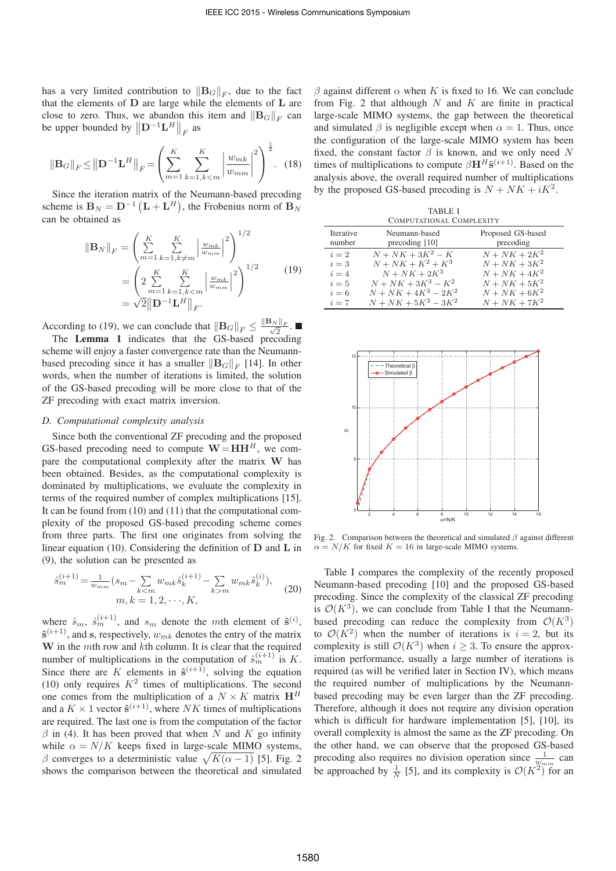has a very limited contribution to  $||B_G||_F$ , due to the fact<br>that the elements of **D** are large while the elements of **L** are that the elements of **D** are large while the elements of **L** are close to zero. Thus, we abandon this item and  $||B_G||_F$  can<br>be upper bounded by  $||D^{-1}LH||$ be upper bounded by  $\left\| \mathbf{D}^{-1} \mathbf{L}^H \right\|_F$  as

$$
\|\mathbf{B}_{G}\|_{F} \leq \left\|\mathbf{D}^{-1}\mathbf{L}^{H}\right\|_{F} = \left(\sum_{m=1}^{K} \sum_{k=1,k (18)
$$

Since the iteration matrix of the Neumann-based precoding scheme is  $\mathbf{B}_N = \mathbf{D}^{-1} (\mathbf{L} + \mathbf{L}^H)$ , the Frobenius norm of  $\mathbf{B}_N$ can be obtained as

$$
\|\mathbf{B}_{N}\|_{F} = \left(\sum_{m=1}^{K} \sum_{k=1, k \neq m}^{K} \left| \frac{w_{mk}}{w_{mm}} \right|^{2} \right)^{1/2}
$$

$$
= \left(2 \sum_{m=1}^{K} \sum_{k=1, k < m}^{K} \left| \frac{w_{mk}}{w_{mm}} \right|^{2} \right)^{1/2} \qquad (19)
$$

$$
= \sqrt{2} \|\mathbf{D}^{-1}\mathbf{L}^{H}\|_{F}.
$$

According to (19), we can conclude that  $\|\mathbf{B}_G\|_F \le \frac{\|\mathbf{B}_N\|_F}{\sqrt{2}}$ .<br>The **Lemma 1** indicates that the GS hased precident

The Lemma 1 indicates that the GS-based precoding scheme will enjoy a faster convergence rate than the Neumannbased precoding since it has a smaller  $||B_G||_F$  [14]. In other<br>words, when the number of iterations is limited, the solution words, when the number of iterations is limited, the solution of the GS-based precoding will be more close to that of the ZF precoding with exact matrix inversion.

#### *D. Computational complexity analysis*

Since both the conventional ZF precoding and the proposed GS-based precoding need to compute  $\mathbf{W} = \mathbf{H}\mathbf{H}^{H}$ , we compare the computational complexity after the matrix **W** has been obtained. Besides, as the computational complexity is dominated by multiplications, we evaluate the complexity in terms of the required number of complex multiplications [15]. It can be found from (10) and (11) that the computational complexity of the proposed GS-based precoding scheme comes from three parts. The first one originates from solving the linear equation (10). Considering the definition of **D** and **L** in (9), the solution can be presented as

$$
\hat{s}_{m}^{(i+1)} = \frac{1}{w_{mm}} (s_m - \sum_{k < m} w_{mk} \hat{s}_k^{(i+1)} - \sum_{k > m} w_{mk} \hat{s}_k^{(i)}),
$$
\n
$$
m, k = 1, 2, \cdots, K,
$$
\n
$$
(20)
$$

where  $\hat{s}_m$ ,  $\hat{s}_m^{(i+1)}$ , and  $s_m$  denote the mth element of  $\hat{s}^{(i)}$ ,  $\hat{s}^{(i+1)}$  and s respectively  $w$ , denotes the entry of the matrix  $\hat{\mathbf{s}}^{(i+1)}$ , and **s**, respectively,  $w_{mk}$  denotes the entry of the matrix **<sup>W</sup>** in the mth row and kth column. It is clear that the required number of multiplications in the computation of  $\hat{s}_{m}^{(i+1)}$  is K.<br>Since there are K elements in  $\hat{s}^{(i+1)}$  solving the equation Since there are K elements in  $\hat{\mathbf{s}}^{(i+1)}$ , solving the equation (10) only requires  $K^2$  times of multiplications. The second one comes from the multiplication of a  $N \times K$  matrix  $H<sup>H</sup>$ and a  $K \times 1$  vector  $\hat{\mathbf{s}}^{(i+1)}$ , where NK times of multiplications are required. The last one is from the computation of the factor  $\beta$  in (4). It has been proved that when N and K go infinity while  $\alpha = N/K$  keeps fixed in large-scale MIMO systems, β converges to a deterministic value  $\sqrt{K(\alpha - 1)}$  [5]. Fig. 2 shows the comparison between the theoretical and simulated

 $β$  against different  $α$  when K is fixed to 16. We can conclude from Fig. 2 that although  $N$  and  $K$  are finite in practical large-scale MIMO systems, the gap between the theoretical and simulated  $\beta$  is negligible except when  $\alpha = 1$ . Thus, once the configuration of the large-scale MIMO system has been fixed, the constant factor  $\beta$  is known, and we only need N times of multiplications to compute  $\beta$ **H**<sup>H</sup> $\hat{\mathbf{s}}^{(i+1)}$ . Based on the analysis above, the overall required number of multiplications by the proposed GS-based precoding is  $N + NK + iK^2$ .

| <b>TABLE I</b><br>COMPUTATIONAL COMPLEXITY |                                 |                                |
|--------------------------------------------|---------------------------------|--------------------------------|
| <b>Iterative</b><br>number                 | Neumann-based<br>precoding [10] | Proposed GS-based<br>precoding |
| $i=2$                                      | $N + NK + 3K^2 - K$             | $N + NK + 2K^2$                |
| $i=3$                                      | $N + NK + K^2 + K^3$            | $N + NK + 3K^2$                |
| $i=4$                                      | $N + NK + 2K^3$                 | $N + NK + 4K^2$                |
| $i=5$                                      | $N + NK + 3K^3 - K^2$           | $N + NK + 5K^2$                |
| $i=6$                                      | $N + NK + 4K^3 - 2K^2$          | $N + NK + 6K^2$                |
| $i=7$                                      | $N + NK + 5K^3 - 3K^2$          | $N + NK + 7K^2$                |



Fig. 2. Comparison between the theoretical and simulated  $\beta$  against different  $\alpha = N/K$  for fixed  $K = 16$  in large-scale MIMO systems.

Table I compares the complexity of the recently proposed Neumann-based precoding [10] and the proposed GS-based precoding. Since the complexity of the classical ZF precoding is  $\mathcal{O}(K^3)$ , we can conclude from Table I that the Neumannbased precoding can reduce the complexity from  $\mathcal{O}(K^3)$ to  $\mathcal{O}(K^2)$  when the number of iterations is  $i = 2$ , but its complexity is still  $\mathcal{O}(K^3)$  when  $i \geq 3$ . To ensure the approximation performance, usually a large number of iterations is required (as will be verified later in Section IV), which means the required number of multiplications by the Neumannbased precoding may be even larger than the ZF precoding. Therefore, although it does not require any division operation which is difficult for hardware implementation [5], [10], its overall complexity is almost the same as the ZF precoding. On the other hand, we can observe that the proposed GS-based precoding also requires no division operation since  $\frac{1}{w_{mm}}$  can<br>be approached by  $\frac{1}{w_{mm}}$  [51] and its complexity is  $\mathcal{O}(K^2)$  for an be approached by  $\frac{1}{N}$  [5], and its complexity is  $\mathcal{O}(K^2)$  for an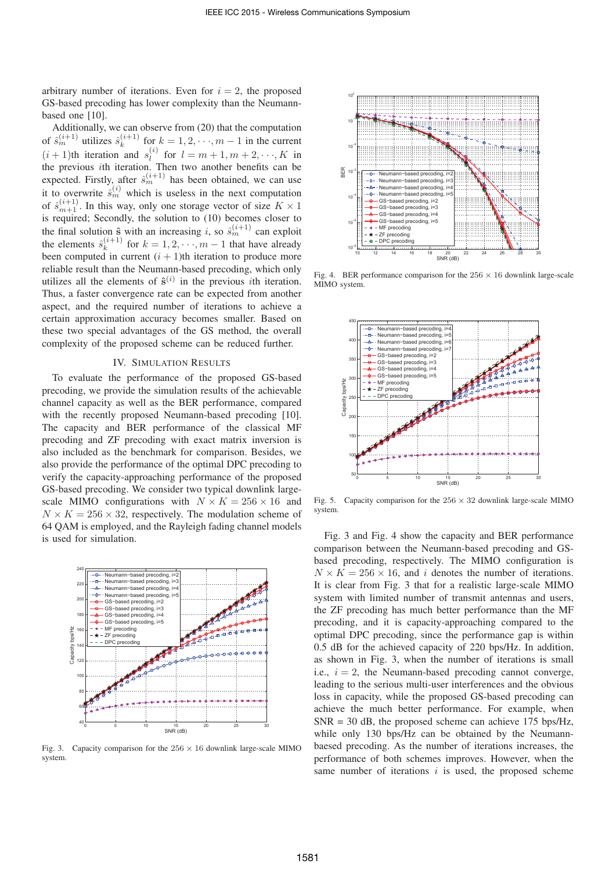arbitrary number of iterations. Even for  $i = 2$ , the proposed GS-based precoding has lower complexity than the Neumannbased one [10].

Additionally, we can observe from (20) that the computation of  $\hat{s}_{n}^{(i+1)}$  utilizes  $\hat{s}_{k}^{(i+1)}$  for  $k = 1, 2, \dots, m-1$  in the current  $(i+1)$ <sup>th</sup> iteration and  $s^{(i)}$  for  $l = m+1, m+2, \dots, K$  in  $(i + 1)$ th iteration and  $s_i^{(i)}$  for  $l = m + 1, m + 2, \dots, K$  in<br>the previous *i*th iteration. Then two another benefits can be the previous *i*th iteration. Then two another benefits can be<br>expected. Firstly, ofter  $\hat{a}^{(i+1)}$  has been obtained, we can use expected. Firstly, after  $\hat{s}_{m}^{(i+1)}$  has been obtained, we can use it to overwrite  $\hat{s}_{nn}^{(i)}$  which is useless in the next computation<br>of  $\hat{s}_{n}^{(i+1)}$ . In this way, only one storage yester of size  $K \times 1$ . of  $\hat{s}_{m+1}^{(i+1)}$ . In this way, only one storage vector of size  $K \times 1$ <br>is required. Secondly, the solution to (10) becomes closer to is required; Secondly, the solution to (10) becomes closer to the final solution  $\hat{\mathbf{s}}$  with an increasing i, so  $\hat{s}_{nn}^{(i+1)}$  can exploit the elements  $\hat{s}^{(i+1)}$  for  $k-1, 2, \ldots, m-1$  that have elements the elements  $\hat{s}_k^{(i+1)}$  for  $k = 1, 2, \dots, m-1$  that have already been computed in current  $(i+1)$ th iteration to produce more been computed in current  $(i + 1)$ th iteration to produce more reliable result than the Neumann-based precoding, which only utilizes all the elements of  $\hat{\mathbf{s}}^{(i)}$  in the previous *i*th iteration. Thus, a faster convergence rate can be expected from another aspect, and the required number of iterations to achieve a certain approximation accuracy becomes smaller. Based on these two special advantages of the GS method, the overall complexity of the proposed scheme can be reduced further.

### IV. SIMULATION RESULTS

To evaluate the performance of the proposed GS-based precoding, we provide the simulation results of the achievable channel capacity as well as the BER performance, compared with the recently proposed Neumann-based precoding [10]. The capacity and BER performance of the classical MF precoding and ZF precoding with exact matrix inversion is also included as the benchmark for comparison. Besides, we also provide the performance of the optimal DPC precoding to verify the capacity-approaching performance of the proposed GS-based precoding. We consider two typical downlink largescale MIMO configurations with  $N \times K = 256 \times 16$  and  $N \times K = 256 \times 32$ , respectively. The modulation scheme of 64 QAM is employed, and the Rayleigh fading channel models is used for simulation.



Fig. 3. Capacity comparison for the  $256 \times 16$  downlink large-scale MIMO system.



Fig. 4. BER performance comparison for the  $256 \times 16$  downlink large-scale MIMO system.



Fig. 5. Capacity comparison for the  $256 \times 32$  downlink large-scale MIMO system.

Fig. 3 and Fig. 4 show the capacity and BER performance comparison between the Neumann-based precoding and GSbased precoding, respectively. The MIMO configuration is  $N \times K = 256 \times 16$ , and i denotes the number of iterations. It is clear from Fig. 3 that for a realistic large-scale MIMO system with limited number of transmit antennas and users, the ZF precoding has much better performance than the MF precoding, and it is capacity-approaching compared to the optimal DPC precoding, since the performance gap is within 0.5 dB for the achieved capacity of 220 bps/Hz. In addition, as shown in Fig. 3, when the number of iterations is small i.e.,  $i = 2$ , the Neumann-based precoding cannot converge, leading to the serious multi-user interferences and the obvious loss in capacity, while the proposed GS-based precoding can achieve the much better performance. For example, when  $SNR = 30$  dB, the proposed scheme can achieve 175 bps/Hz, while only 130 bps/Hz can be obtained by the Neumannbaesed precoding. As the number of iterations increases, the performance of both schemes improves. However, when the same number of iterations  $i$  is used, the proposed scheme